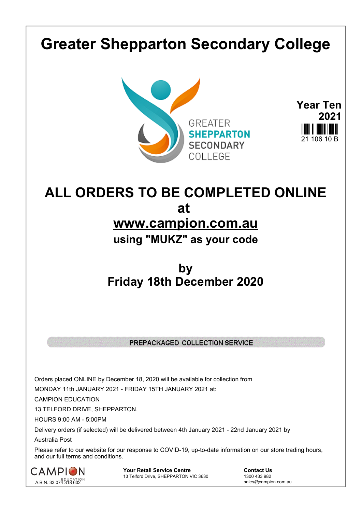## **Greater Shepparton Secondary College**





## **ALL ORDERS TO BE COMPLETED ONLINE at www.campion.com.au using "MUKZ" as your code**

## **by Friday 18th December 2020**

## PREPACKAGED COLLECTION SERVICE

Orders placed ONLINE by December 18, 2020 will be available for collection from

MONDAY 11th JANUARY 2021 - FRIDAY 15TH JANUARY 2021 at:

CAMPION EDUCATION

13 TELFORD DRIVE, SHEPPARTON.

HOURS 9:00 AM - 5:00PM

Delivery orders (if selected) will be delivered between 4th January 2021 - 22nd January 2021 by

Australia Post

Please refer to our website for our response to COVID-19, up-to-date information on our store trading hours, and our full terms and conditions.



**Your Retail Service Centre Contact Us**<br>
13 Telford Drive, SHEPPARTON VIC 3630

1300 433 982 13 Telford Drive, SHEPPARTON VIC 3630

sales@campion.com.au